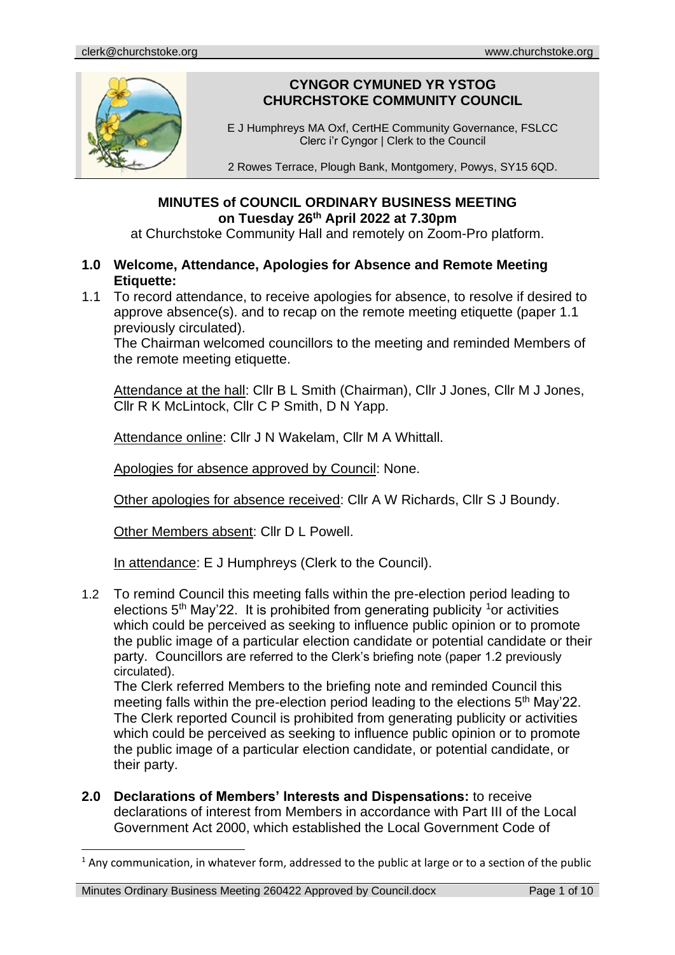

# **CYNGOR CYMUNED YR YSTOG CHURCHSTOKE COMMUNITY COUNCIL**

E J Humphreys MA Oxf, CertHE Community Governance, FSLCC Clerc i'r Cyngor | Clerk to the Council

2 Rowes Terrace, Plough Bank, Montgomery, Powys, SY15 6QD.

## **MINUTES of COUNCIL ORDINARY BUSINESS MEETING on Tuesday 26th April 2022 at 7.30pm**

at Churchstoke Community Hall and remotely on Zoom-Pro platform.

## **1.0 Welcome, Attendance, Apologies for Absence and Remote Meeting Etiquette:**

1.1 To record attendance, to receive apologies for absence, to resolve if desired to approve absence(s). and to recap on the remote meeting etiquette (paper 1.1 previously circulated).

The Chairman welcomed councillors to the meeting and reminded Members of the remote meeting etiquette.

Attendance at the hall: Cllr B L Smith (Chairman), Cllr J Jones, Cllr M J Jones, Cllr R K McLintock, Cllr C P Smith, D N Yapp.

Attendance online: Cllr J N Wakelam, Cllr M A Whittall.

Apologies for absence approved by Council: None.

Other apologies for absence received: Cllr A W Richards, Cllr S J Boundy.

Other Members absent: Cllr D L Powell.

In attendance: E J Humphreys (Clerk to the Council).

1.2 To remind Council this meeting falls within the pre-election period leading to elections  $5<sup>th</sup>$  May'22. It is prohibited from generating publicity <sup>1</sup> or activities which could be perceived as seeking to influence public opinion or to promote the public image of a particular election candidate or potential candidate or their party. Councillors are referred to the Clerk's briefing note (paper 1.2 previously circulated).

The Clerk referred Members to the briefing note and reminded Council this meeting falls within the pre-election period leading to the elections 5<sup>th</sup> May'22. The Clerk reported Council is prohibited from generating publicity or activities which could be perceived as seeking to influence public opinion or to promote the public image of a particular election candidate, or potential candidate, or their party.

**2.0 Declarations of Members' Interests and Dispensations:** to receive declarations of interest from Members in accordance with Part III of the Local Government Act 2000, which established the Local Government Code of

 $<sup>1</sup>$  Any communication, in whatever form, addressed to the public at large or to a section of the public</sup>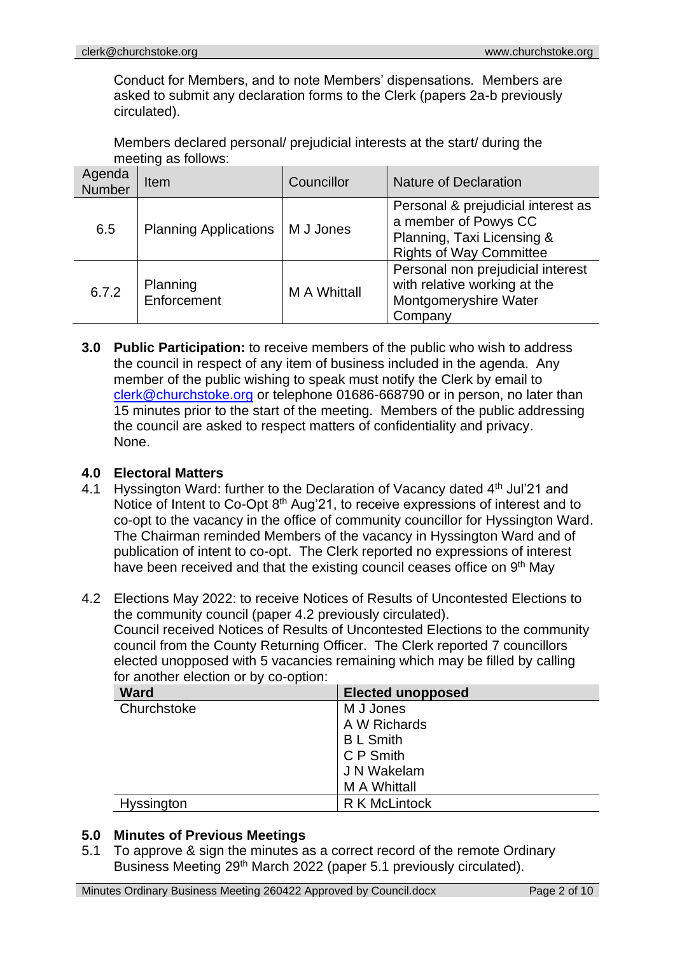Conduct for Members, and to note Members' dispensations. Members are asked to submit any declaration forms to the Clerk (papers 2a-b previously circulated).

Members declared personal/ prejudicial interests at the start/ during the meeting as follows:

| Agenda<br>Number | Item                         | Councillor          | Nature of Declaration                                                                                                      |
|------------------|------------------------------|---------------------|----------------------------------------------------------------------------------------------------------------------------|
| 6.5              | <b>Planning Applications</b> | M J Jones           | Personal & prejudicial interest as<br>a member of Powys CC<br>Planning, Taxi Licensing &<br><b>Rights of Way Committee</b> |
| 6.7.2            | Planning<br>Enforcement      | <b>M A Whittall</b> | Personal non prejudicial interest<br>with relative working at the<br>Montgomeryshire Water<br>Company                      |

**3.0 Public Participation:** to receive members of the public who wish to address the council in respect of any item of business included in the agenda. Any member of the public wishing to speak must notify the Clerk by email to [clerk@churchstoke.org](mailto:clerk@churchstoke.org) or telephone 01686-668790 or in person, no later than 15 minutes prior to the start of the meeting. Members of the public addressing the council are asked to respect matters of confidentiality and privacy. None.

## **4.0 Electoral Matters**

- 4.1 Hyssington Ward: further to the Declaration of Vacancy dated 4<sup>th</sup> Jul'21 and Notice of Intent to Co-Opt 8<sup>th</sup> Aug'21, to receive expressions of interest and to co-opt to the vacancy in the office of community councillor for Hyssington Ward. The Chairman reminded Members of the vacancy in Hyssington Ward and of publication of intent to co-opt. The Clerk reported no expressions of interest have been received and that the existing council ceases office on 9<sup>th</sup> May
- 4.2 Elections May 2022: to receive Notices of Results of Uncontested Elections to the community council (paper 4.2 previously circulated). Council received Notices of Results of Uncontested Elections to the community council from the County Returning Officer. The Clerk reported 7 councillors elected unopposed with 5 vacancies remaining which may be filled by calling for another election or by co-option:

| -<br><b>Ward</b> | <b>Elected unopposed</b> |
|------------------|--------------------------|
| Churchstoke      | M J Jones                |
|                  | A W Richards             |
|                  | <b>BL</b> Smith          |
|                  | C P Smith                |
|                  | J N Wakelam              |
|                  | <b>MA Whittall</b>       |
| Hyssington       | R K McLintock            |

### **5.0 Minutes of Previous Meetings**

5.1 To approve & sign the minutes as a correct record of the remote Ordinary Business Meeting 29<sup>th</sup> March 2022 (paper 5.1 previously circulated).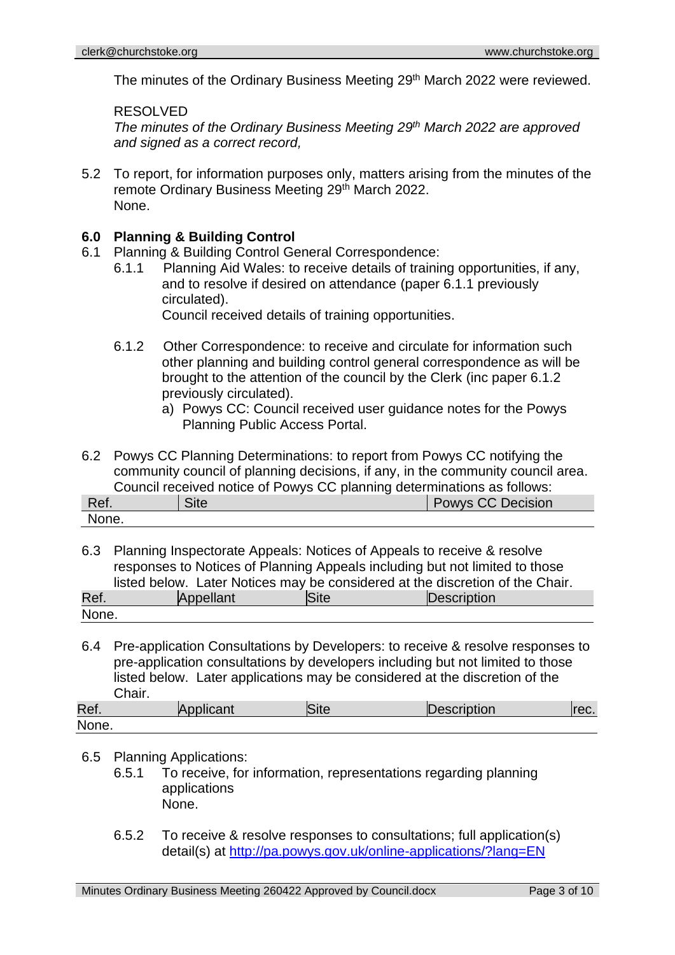The minutes of the Ordinary Business Meeting 29<sup>th</sup> March 2022 were reviewed.

#### RESOLVED

*The minutes of the Ordinary Business Meeting 29th March 2022 are approved and signed as a correct record,*

5.2 To report, for information purposes only, matters arising from the minutes of the remote Ordinary Business Meeting 29th March 2022. None.

### **6.0 Planning & Building Control**

- 6.1 Planning & Building Control General Correspondence:
	- 6.1.1 Planning Aid Wales: to receive details of training opportunities, if any, and to resolve if desired on attendance (paper 6.1.1 previously circulated).

Council received details of training opportunities.

- 6.1.2 Other Correspondence: to receive and circulate for information such other planning and building control general correspondence as will be brought to the attention of the council by the Clerk (inc paper 6.1.2 previously circulated).
	- a) Powys CC: Council received user guidance notes for the Powys Planning Public Access Portal.
- 6.2 Powys CC Planning Determinations: to report from Powys CC notifying the community council of planning decisions, if any, in the community council area. Council received notice of Powys CC planning determinations as follows:

| Ref.  | <b></b><br>site |  | . . | <b>Powys CC Decision</b> |
|-------|-----------------|--|-----|--------------------------|
| None. |                 |  |     |                          |

6.3 Planning Inspectorate Appeals: Notices of Appeals to receive & resolve responses to Notices of Planning Appeals including but not limited to those listed below. Later Notices may be considered at the discretion of the Chair.

| Ref.  | مسحرا الما | ле | IC<br>escription |
|-------|------------|----|------------------|
| None. |            |    |                  |

6.4 Pre-application Consultations by Developers: to receive & resolve responses to pre-application consultations by developers including but not limited to those listed below. Later applications may be considered at the discretion of the Chair.

| Ref.  | Applicant | <b>Site</b> | Description | JU. |
|-------|-----------|-------------|-------------|-----|
| None. |           |             |             |     |

- 6.5 Planning Applications:
	- 6.5.1 To receive, for information, representations regarding planning applications None.
	- 6.5.2 To receive & resolve responses to consultations; full application(s) detail(s) at http://pa.powys.gov.uk/online-applications/?lang=EN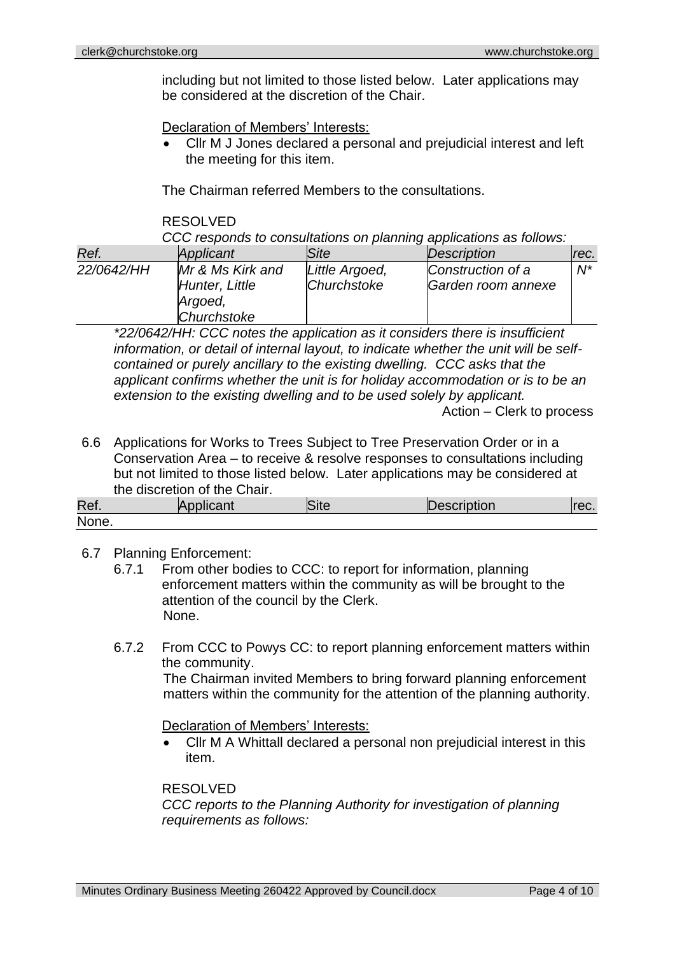including but not limited to those listed below. Later applications may be considered at the discretion of the Chair.

Declaration of Members' Interests:

• Cllr M J Jones declared a personal and prejudicial interest and left the meeting for this item.

The Chairman referred Members to the consultations.

#### RESOLVED

*CCC responds to consultations on planning applications as follows:*

| Ref.       | Applicant                                                    | Site                          | Description                             | Irec. |
|------------|--------------------------------------------------------------|-------------------------------|-----------------------------------------|-------|
| 22/0642/HH | Mr & Ms Kirk and<br>Hunter, Little<br>Argoed,<br>Churchstoke | Little Argoed,<br>Churchstoke | Construction of a<br>Garden room annexe | $N^*$ |

*\*22/0642/HH: CCC notes the application as it considers there is insufficient information, or detail of internal layout, to indicate whether the unit will be selfcontained or purely ancillary to the existing dwelling. CCC asks that the applicant confirms whether the unit is for holiday accommodation or is to be an extension to the existing dwelling and to be used solely by applicant.* Action – Clerk to process

6.6 Applications for Works to Trees Subject to Tree Preservation Order or in a Conservation Area – to receive & resolve responses to consultations including but not limited to those listed below. Later applications may be considered at the discretion of the Chair.

| Ref.<br>r |  | ாட | הטוויי. | UU. |
|-----------|--|----|---------|-----|
| None.     |  |    |         |     |

### 6.7 Planning Enforcement:

- 6.7.1 From other bodies to CCC: to report for information, planning enforcement matters within the community as will be brought to the attention of the council by the Clerk. None.
- 6.7.2 From CCC to Powys CC: to report planning enforcement matters within the community.

The Chairman invited Members to bring forward planning enforcement matters within the community for the attention of the planning authority.

#### Declaration of Members' Interests:

• Cllr M A Whittall declared a personal non prejudicial interest in this item.

#### RESOLVED

*CCC reports to the Planning Authority for investigation of planning requirements as follows:*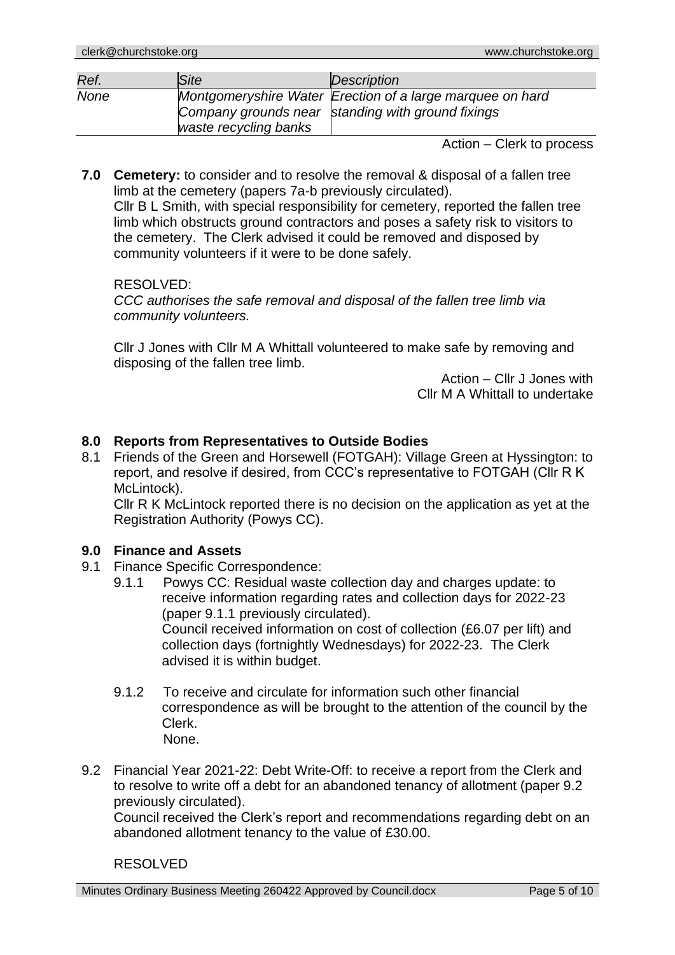| Ref.        | Site                  | Description                                                                                                    |
|-------------|-----------------------|----------------------------------------------------------------------------------------------------------------|
| <b>None</b> | waste recycling banks | Montgomeryshire Water Erection of a large marquee on hard<br>Company grounds near standing with ground fixings |

Action – Clerk to process

**7.0 Cemetery:** to consider and to resolve the removal & disposal of a fallen tree limb at the cemetery (papers 7a-b previously circulated).

Cllr B L Smith, with special responsibility for cemetery, reported the fallen tree limb which obstructs ground contractors and poses a safety risk to visitors to the cemetery. The Clerk advised it could be removed and disposed by community volunteers if it were to be done safely.

#### RESOLVED:

*CCC authorises the safe removal and disposal of the fallen tree limb via community volunteers.*

Cllr J Jones with Cllr M A Whittall volunteered to make safe by removing and disposing of the fallen tree limb.

> Action – Cllr J Jones with Cllr M A Whittall to undertake

### **8.0 Reports from Representatives to Outside Bodies**

8.1 Friends of the Green and Horsewell (FOTGAH): Village Green at Hyssington: to report, and resolve if desired, from CCC's representative to FOTGAH (Cllr R K McLintock).

Cllr R K McLintock reported there is no decision on the application as yet at the Registration Authority (Powys CC).

### **9.0 Finance and Assets**

- 9.1 Finance Specific Correspondence:
	- 9.1.1 Powys CC: Residual waste collection day and charges update: to receive information regarding rates and collection days for 2022-23 (paper 9.1.1 previously circulated). Council received information on cost of collection (£6.07 per lift) and collection days (fortnightly Wednesdays) for 2022-23. The Clerk advised it is within budget.
	- 9.1.2 To receive and circulate for information such other financial correspondence as will be brought to the attention of the council by the Clerk. None.
- 9.2 Financial Year 2021-22: Debt Write-Off: to receive a report from the Clerk and to resolve to write off a debt for an abandoned tenancy of allotment (paper 9.2 previously circulated).

Council received the Clerk's report and recommendations regarding debt on an abandoned allotment tenancy to the value of £30.00.

### RESOLVED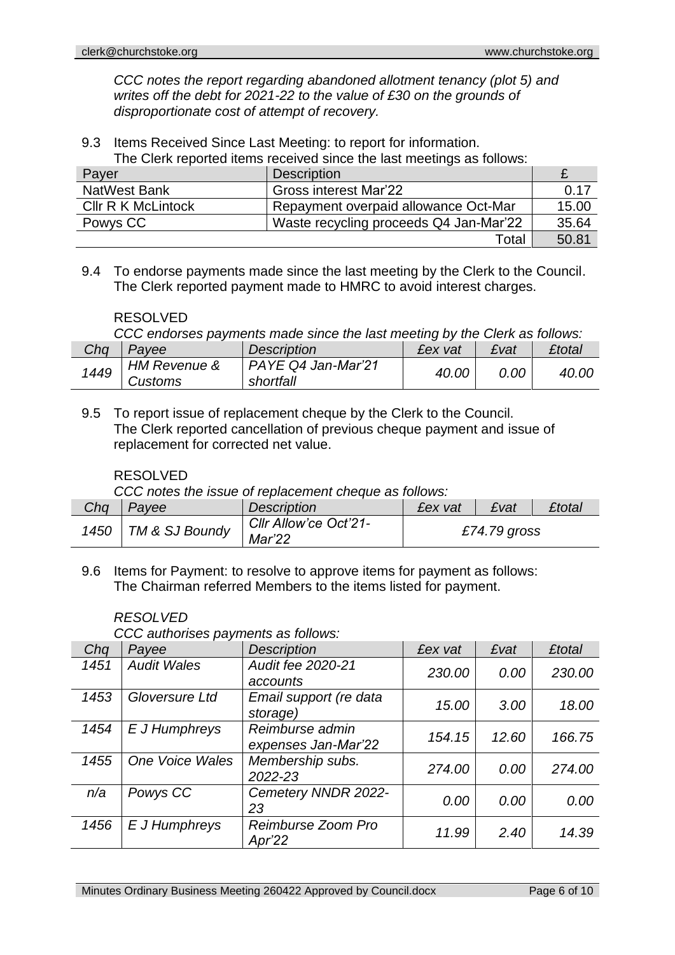*CCC notes the report regarding abandoned allotment tenancy (plot 5) and writes off the debt for 2021-22 to the value of £30 on the grounds of disproportionate cost of attempt of recovery.*

9.3 Items Received Since Last Meeting: to report for information.

The Clerk reported items received since the last meetings as follows:

| Payer                     | <b>Description</b>                     |       |
|---------------------------|----------------------------------------|-------|
| NatWest Bank              | Gross interest Mar'22                  | 0.17  |
| <b>CIIr R K McLintock</b> | Repayment overpaid allowance Oct-Mar   | 15.00 |
| Powys CC                  | Waste recycling proceeds Q4 Jan-Mar'22 | 35.64 |
|                           | Total                                  | 50.81 |

9.4 To endorse payments made since the last meeting by the Clerk to the Council. The Clerk reported payment made to HMRC to avoid interest charges.

#### RESOLVED

*CCC endorses payments made since the last meeting by the Clerk as follows:*

|      |                                    |                                 |       |      | £total |
|------|------------------------------------|---------------------------------|-------|------|--------|
| 1449 | <b>HM Revenue &amp;</b><br>Customs | PAYE Q4 Jan-Mar'21<br>shortfall | 40.00 | 0.00 | 40.OC  |

9.5 To report issue of replacement cheque by the Clerk to the Council. The Clerk reported cancellation of previous cheque payment and issue of replacement for corrected net value.

### RESOLVED

*CCC notes the issue of replacement cheque as follows:*

| Chq | Payee                 | <b>Description</b>              | £ex vat | £vat         | £total |
|-----|-----------------------|---------------------------------|---------|--------------|--------|
|     | 1450   TM & SJ Boundy | Cllr Allow'ce Oct'21-<br>Mar'22 |         | £74.79 gross |        |

9.6 Items for Payment: to resolve to approve items for payment as follows: The Chairman referred Members to the items listed for payment.

#### *RESOLVED*

*CCC authorises payments as follows:*

| Chq  | Payee                  | <b>Description</b>                     | £ex vat | £vat  | <b>£total</b> |
|------|------------------------|----------------------------------------|---------|-------|---------------|
| 1451 | <b>Audit Wales</b>     | Audit fee 2020-21<br>accounts          | 230.00  | 0.00  | 230.00        |
| 1453 | Gloversure Ltd         | Email support (re data<br>storage)     | 15.00   | 3.00  | 18.00         |
| 1454 | E J Humphreys          | Reimburse admin<br>expenses Jan-Mar'22 | 154.15  | 12.60 | 166.75        |
| 1455 | <b>One Voice Wales</b> | Membership subs.<br>2022-23            | 274.00  | 0.00  | 274.00        |
| n/a  | Powys CC               | Cemetery NNDR 2022-<br>23              | 0.00    | 0.00  | 0.00          |
| 1456 | E J Humphreys          | Reimburse Zoom Pro<br>Apr'22           | 11.99   | 2.40  | 14.39         |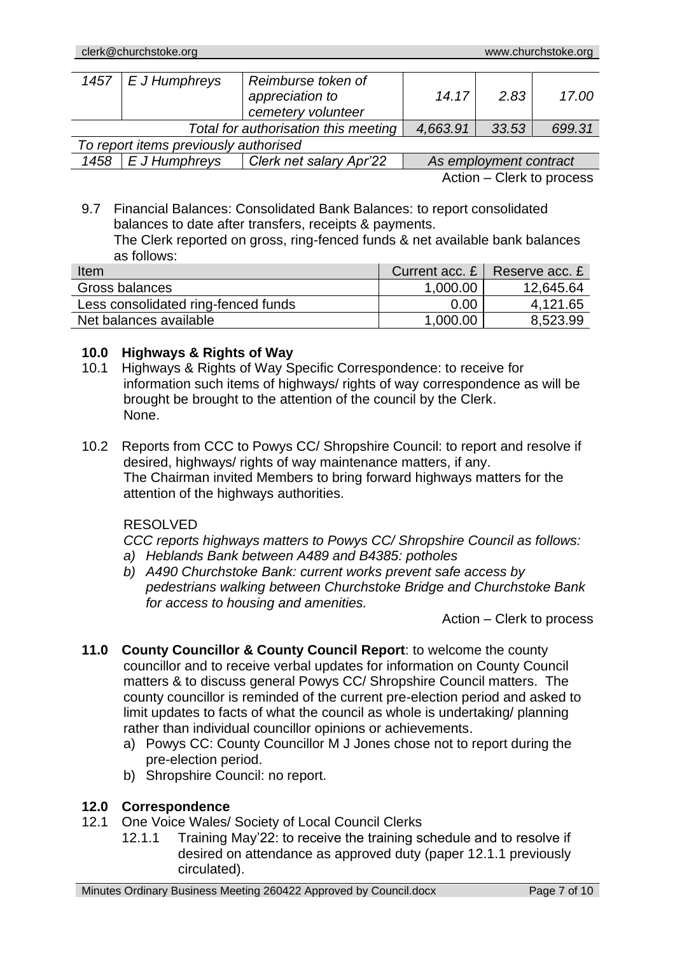| 1457                                  | $E$ J Humphreys | Reimburse token of<br>appreciation to<br>cemetery volunteer | 14.17                  | 2.83  | 17.00  |  |
|---------------------------------------|-----------------|-------------------------------------------------------------|------------------------|-------|--------|--|
| Total for authorisation this meeting  |                 |                                                             | 4,663.91               | 33.53 | 699.31 |  |
| To report items previously authorised |                 |                                                             |                        |       |        |  |
| 1458                                  | E J Humphreys   | Clerk net salary Apr'22                                     | As employment contract |       |        |  |

Action – Clerk to process

9.7 Financial Balances: Consolidated Bank Balances: to report consolidated balances to date after transfers, receipts & payments.

The Clerk reported on gross, ring-fenced funds & net available bank balances as follows:

| Item                                | Current acc. $E \parallel$ | Reserve acc. £ |
|-------------------------------------|----------------------------|----------------|
| Gross balances                      | 1,000.00                   | 12,645.64      |
| Less consolidated ring-fenced funds | 0.00                       | 4,121.65       |
| Net balances available              | 1,000.00                   | 8,523.99       |

## **10.0 Highways & Rights of Way**

- 10.1 Highways & Rights of Way Specific Correspondence: to receive for information such items of highways/ rights of way correspondence as will be brought be brought to the attention of the council by the Clerk. None.
- 10.2 Reports from CCC to Powys CC/ Shropshire Council: to report and resolve if desired, highways/ rights of way maintenance matters, if any. The Chairman invited Members to bring forward highways matters for the attention of the highways authorities.

## RESOLVED

*CCC reports highways matters to Powys CC/ Shropshire Council as follows: a) Heblands Bank between A489 and B4385: potholes*

*b) A490 Churchstoke Bank: current works prevent safe access by pedestrians walking between Churchstoke Bridge and Churchstoke Bank for access to housing and amenities.*

Action – Clerk to process

- **11.0 County Councillor & County Council Report**: to welcome the county councillor and to receive verbal updates for information on County Council matters & to discuss general Powys CC/ Shropshire Council matters. The county councillor is reminded of the current pre-election period and asked to limit updates to facts of what the council as whole is undertaking/ planning rather than individual councillor opinions or achievements.
	- a) Powys CC: County Councillor M J Jones chose not to report during the pre-election period.
	- b) Shropshire Council: no report.

## **12.0 Correspondence**

- 12.1 One Voice Wales/ Society of Local Council Clerks
	- 12.1.1 Training May'22: to receive the training schedule and to resolve if desired on attendance as approved duty (paper 12.1.1 previously circulated).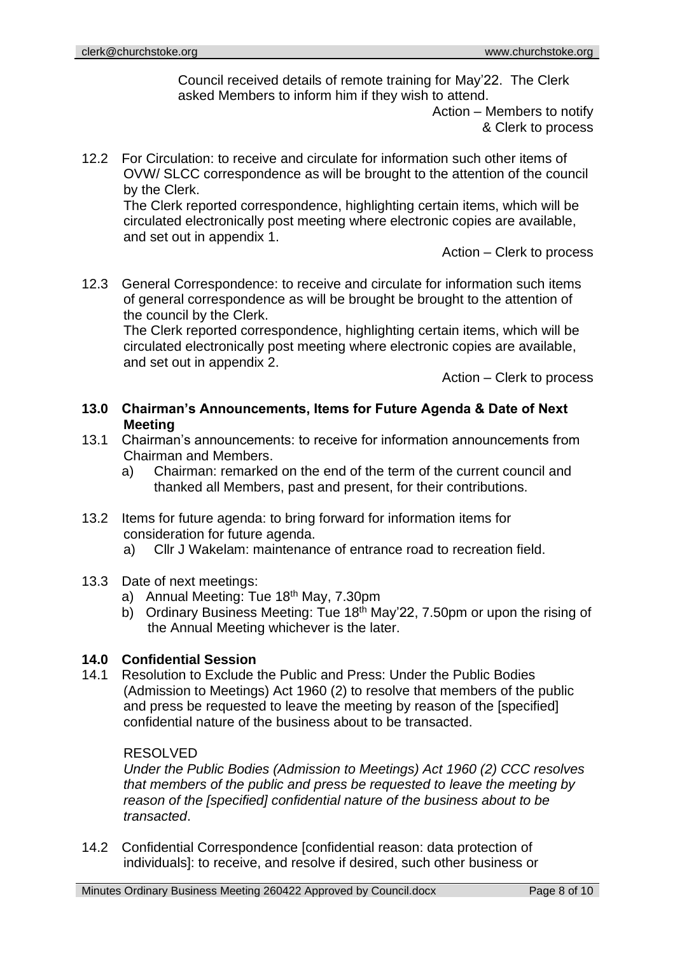Council received details of remote training for May'22. The Clerk asked Members to inform him if they wish to attend.

> Action – Members to notify & Clerk to process

12.2 For Circulation: to receive and circulate for information such other items of OVW/ SLCC correspondence as will be brought to the attention of the council by the Clerk.

The Clerk reported correspondence, highlighting certain items, which will be circulated electronically post meeting where electronic copies are available, and set out in appendix 1.

Action – Clerk to process

12.3 General Correspondence: to receive and circulate for information such items of general correspondence as will be brought be brought to the attention of the council by the Clerk.

The Clerk reported correspondence, highlighting certain items, which will be circulated electronically post meeting where electronic copies are available, and set out in appendix 2.

Action – Clerk to process

- **13.0 Chairman's Announcements, Items for Future Agenda & Date of Next Meeting**
- 13.1 Chairman's announcements: to receive for information announcements from Chairman and Members.
	- a) Chairman: remarked on the end of the term of the current council and thanked all Members, past and present, for their contributions.
- 13.2 Items for future agenda: to bring forward for information items for consideration for future agenda.
	- a) Cllr J Wakelam: maintenance of entrance road to recreation field.
- 13.3 Date of next meetings:
	- a) Annual Meeting: Tue 18<sup>th</sup> May, 7.30pm
	- b) Ordinary Business Meeting: Tue 18<sup>th</sup> May'22, 7.50pm or upon the rising of the Annual Meeting whichever is the later.

### **14.0 Confidential Session**

14.1 Resolution to Exclude the Public and Press: Under the Public Bodies (Admission to Meetings) Act 1960 (2) to resolve that members of the public and press be requested to leave the meeting by reason of the [specified] confidential nature of the business about to be transacted.

### RESOLVED

*Under the Public Bodies (Admission to Meetings) Act 1960 (2) CCC resolves that members of the public and press be requested to leave the meeting by reason of the [specified] confidential nature of the business about to be transacted*.

14.2 Confidential Correspondence [confidential reason: data protection of individuals]: to receive, and resolve if desired, such other business or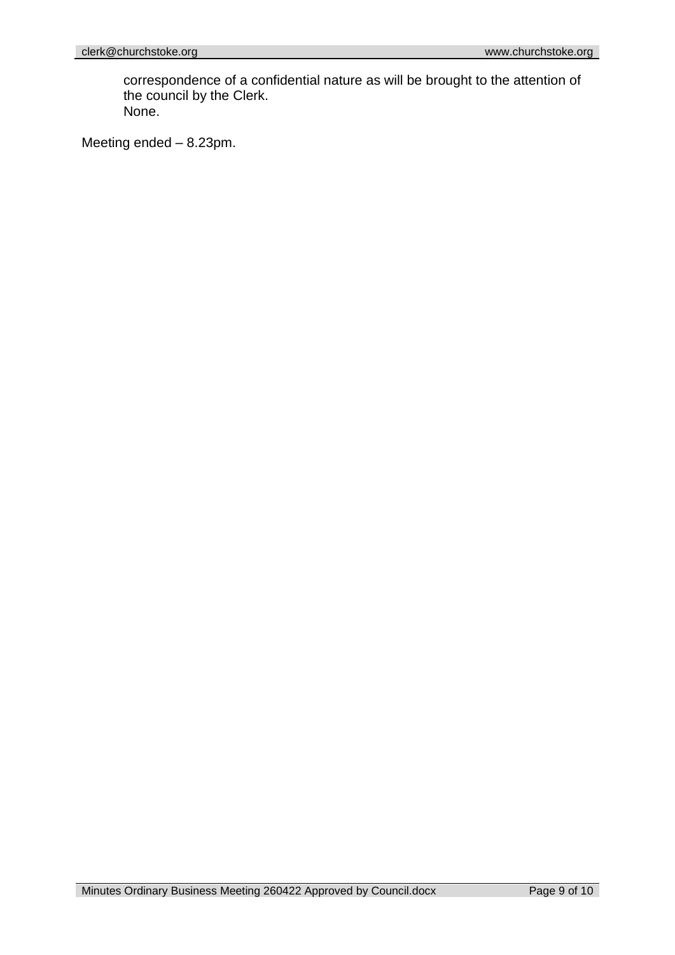correspondence of a confidential nature as will be brought to the attention of the council by the Clerk. None.

Meeting ended – 8.23pm.